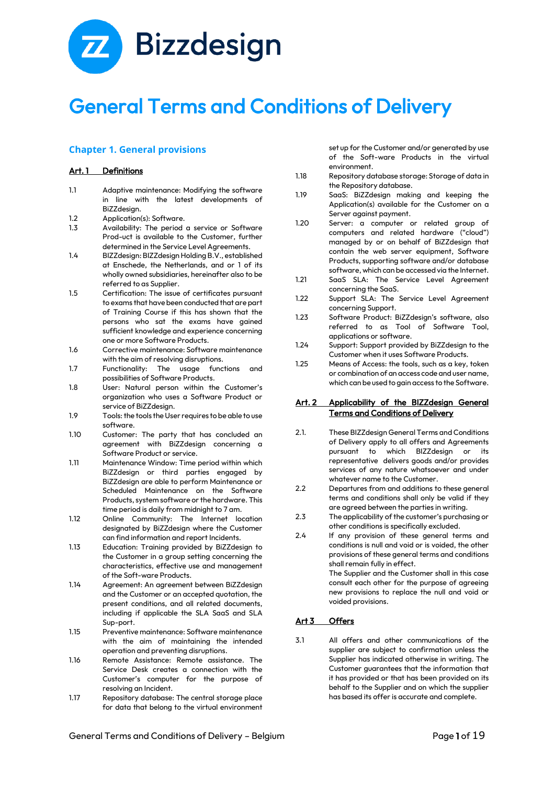

# General Terms and Conditions of Delivery

# **Chapter 1. General provisions**

#### Art. 1 Definitions

- 1.1 Adaptive maintenance: Modifying the software in line with the latest developments of BiZZdesign.
- 1.2 Application(s): Software.
- 1.3 Availability: The period a service or Software Prod-uct is available to the Customer, further determined in the Service Level Agreements.
- 1.4 BIZZdesign: BIZZdesign Holding B.V., established at Enschede, the Netherlands, and or 1 of its wholly owned subsidiaries, hereinafter also to be referred to as Supplier.
- 1.5 Certification: The issue of certificates pursuant to exams that have been conducted that are part of Training Course if this has shown that the persons who sat the exams have gained sufficient knowledge and experience concerning one or more Software Products.
- 1.6 Corrective maintenance: Software maintenance with the aim of resolving disruptions.
- 1.7 Functionality: The usage functions and possibilities of Software Products.
- 1.8 User: Natural person within the Customer's organization who uses a Software Product or service of BiZZdesign.
- 1.9 Tools: the tools the User requires to be able to use software.
- 1.10 Customer: The party that has concluded an agreement with BiZZdesign concerning a Software Product or service.
- 1.11 Maintenance Window: Time period within which BiZZdesign or third parties engaged by BiZZdesign are able to perform Maintenance or Scheduled Maintenance on the Software Products, system software or the hardware. This time period is daily from midnight to 7 am.
- 1.12 Online Community: The Internet location designated by BiZZdesign where the Customer can find information and report Incidents.
- 1.13 Education: Training provided by BiZZdesign to the Customer in a group setting concerning the characteristics, effective use and management of the Soft-ware Products.
- 1.14 Agreement: An agreement between BiZZdesign and the Customer or an accepted quotation, the present conditions, and all related documents, including if applicable the SLA SaaS and SLA Sup-port.
- 1.15 Preventive maintenance: Software maintenance with the aim of maintaining the intended operation and preventing disruptions.
- 1.16 Remote Assistance: Remote assistance. The Service Desk creates a connection with the Customer's computer for the purpose of resolving an Incident.
- 1.17 Repository database: The central storage place for data that belong to the virtual environment

set up for the Customer and/or generated by use of the Soft-ware Products in the virtual environment.

- 1.18 Repository database storage: Storage of data in the Repository database.
- 1.19 SaaS: BiZZdesign making and keeping the Application(s) available for the Customer on a Server against payment.
- 1.20 Server: a computer or related group of computers and related hardware ("cloud") managed by or on behalf of BiZZdesign that contain the web server equipment, Software Products, supporting software and/or database software, which can be accessed via the Internet.
- 1.21 SaaS SLA: The Service Level Agreement concerning the SaaS.
- 1.22 Support SLA: The Service Level Agreement concerning Support.
- 1.23 Software Product: BiZZdesign's software, also referred to as Tool of Software Tool, applications or software.
- 1.24 Support: Support provided by BiZZdesign to the Customer when it uses Software Products.
- 1.25 Means of Access: the tools, such as a key, token or combination of an access code and user name, which can be used to gain access to the Software.

#### Art. 2 Applicability of the BIZZdesign General Terms and Conditions of Delivery

- 2.1. These BIZZdesign General Terms and Conditions of Delivery apply to all offers and Agreements pursuant to which BIZZdesign or its representative delivers goods and/or provides services of any nature whatsoever and under whatever name to the Customer.
- 2.2 Departures from and additions to these general terms and conditions shall only be valid if they are agreed between the parties in writing.
- 2.3 The applicability of the customer's purchasing or other conditions is specifically excluded.
- 2.4 If any provision of these general terms and conditions is null and void or is voided, the other provisions of these general terms and conditions shall remain fully in effect. The Supplier and the Customer shall in this case

consult each other for the purpose of agreeing new provisions to replace the null and void or voided provisions.

# Art 3 Offers

3.1 All offers and other communications of the supplier are subject to confirmation unless the Supplier has indicated otherwise in writing. The Customer guarantees that the information that it has provided or that has been provided on its behalf to the Supplier and on which the supplier has based its offer is accurate and complete.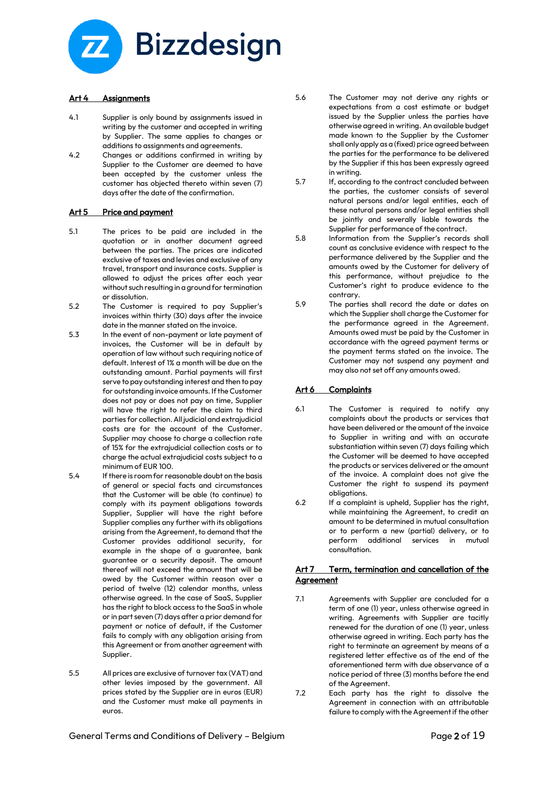

#### Art 4 Assignments

- 4.1 Supplier is only bound by assignments issued in writing by the customer and accepted in writing by Supplier. The same applies to changes or additions to assignments and agreements.
- 4.2 Changes or additions confirmed in writing by Supplier to the Customer are deemed to have been accepted by the customer unless the customer has objected thereto within seven (7) days after the date of the confirmation.

## Art 5 Price and payment

- 5.1 The prices to be paid are included in the quotation or in another document agreed between the parties. The prices are indicated exclusive of taxes and levies and exclusive of any travel, transport and insurance costs. Supplier is allowed to adjust the prices after each year without such resulting in a ground for termination or dissolution.
- 5.2 The Customer is required to pay Supplier's invoices within thirty (30) days after the invoice date in the manner stated on the invoice.
- 5.3 In the event of non-payment or late payment of invoices, the Customer will be in default by operation of law without such requiring notice of default. Interest of 1% a month will be due on the outstanding amount. Partial payments will first serve to pay outstanding interest and then to pay for outstanding invoice amounts. If the Customer does not pay or does not pay on time, Supplier will have the right to refer the claim to third parties for collection. All judicial and extrajudicial costs are for the account of the Customer. Supplier may choose to charge a collection rate of 15% for the extrajudicial collection costs or to charge the actual extrajudicial costs subject to a minimum of EUR 100.
- 5.4 If there is room for reasonable doubt on the basis of general or special facts and circumstances that the Customer will be able (to continue) to comply with its payment obligations towards Supplier, Supplier will have the right before Supplier complies any further with its obligations arising from the Agreement, to demand that the Customer provides additional security, for example in the shape of a guarantee, bank guarantee or a security deposit. The amount thereof will not exceed the amount that will be owed by the Customer within reason over a period of twelve (12) calendar months, unless otherwise agreed. In the case of SaaS, Supplier has the right to block access to the SaaS in whole or in part seven (7) days after a prior demand for payment or notice of default, if the Customer fails to comply with any obligation arising from this Agreement or from another agreement with Supplier.
- 5.5 All prices are exclusive of turnover tax (VAT) and other levies imposed by the government. All prices stated by the Supplier are in euros (EUR) and the Customer must make all payments in euros.
- 5.6 The Customer may not derive any rights or expectations from a cost estimate or budget issued by the Supplier unless the parties have otherwise agreed in writing. An available budget made known to the Supplier by the Customer shall only apply as a (fixed) price agreed between the parties for the performance to be delivered by the Supplier if this has been expressly agreed in writing.
- 5.7 If, according to the contract concluded between the parties, the customer consists of several natural persons and/or legal entities, each of these natural persons and/or legal entities shall be jointly and severally liable towards the Supplier for performance of the contract.
- 5.8 Information from the Supplier's records shall count as conclusive evidence with respect to the performance delivered by the Supplier and the amounts owed by the Customer for delivery of this performance, without prejudice to the Customer's right to produce evidence to the contrary.
- 5.9 The parties shall record the date or dates on which the Supplier shall charge the Customer for the performance agreed in the Agreement. Amounts owed must be paid by the Customer in accordance with the agreed payment terms or the payment terms stated on the invoice. The Customer may not suspend any payment and may also not set off any amounts owed.

#### Art 6 Complaints

- 6.1 The Customer is required to notify any complaints about the products or services that have been delivered or the amount of the invoice to Supplier in writing and with an accurate substantiation within seven (7) days failing which the Customer will be deemed to have accepted the products or services delivered or the amount of the invoice. A complaint does not give the Customer the right to suspend its payment obligations.
- 6.2 If a complaint is upheld, Supplier has the right, while maintaining the Agreement, to credit an amount to be determined in mutual consultation or to perform a new (partial) delivery, or to perform additional services in mutual .<br>consultation.

## Art 7 Term, termination and cancellation of the Agreement

- 7.1 Agreements with Supplier are concluded for a term of one (1) year, unless otherwise agreed in writing. Agreements with Supplier are tacitly renewed for the duration of one (1) year, unless otherwise agreed in writing. Each party has the right to terminate an agreement by means of a registered letter effective as of the end of the aforementioned term with due observance of a notice period of three (3) months before the end of the Agreement.
- 7.2 Each party has the right to dissolve the Agreement in connection with an attributable failure to comply with the Agreement if the other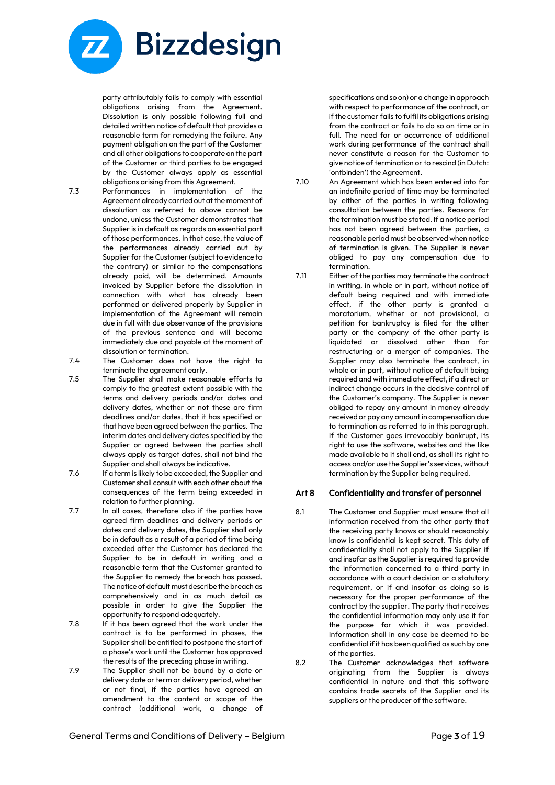

party attributably fails to comply with essential obligations arising from the Agreement. Dissolution is only possible following full and detailed written notice of default that provides a reasonable term for remedying the failure. Any payment obligation on the part of the Customer and all other obligations to cooperate on the part of the Customer or third parties to be engaged by the Customer always apply as essential obligations arising from this Agreement.

- 7.3 Performances in implementation of the Agreement already carried out at the moment of dissolution as referred to above cannot be undone, unless the Customer demonstrates that Supplier is in default as regards an essential part of those performances. In that case, the value of the performances already carried out by Supplier for the Customer (subject to evidence to the contrary) or similar to the compensations already paid, will be determined. Amounts invoiced by Supplier before the dissolution in connection with what has already been performed or delivered properly by Supplier in implementation of the Agreement will remain due in full with due observance of the provisions of the previous sentence and will become immediately due and payable at the moment of dissolution or termination.
- 7.4 The Customer does not have the right to terminate the agreement early.
- 7.5 The Supplier shall make reasonable efforts to comply to the greatest extent possible with the terms and delivery periods and/or dates and delivery dates, whether or not these are firm deadlines and/or dates, that it has specified or that have been agreed between the parties. The interim dates and delivery dates specified by the Supplier or agreed between the parties shall always apply as target dates, shall not bind the Supplier and shall always be indicative.
- 7.6 If a term is likely to be exceeded, the Supplier and Customer shall consult with each other about the consequences of the term being exceeded in relation to further planning.
- 7.7 In all cases, therefore also if the parties have agreed firm deadlines and delivery periods or dates and delivery dates, the Supplier shall only be in default as a result of a period of time being exceeded after the Customer has declared the Supplier to be in default in writing and a reasonable term that the Customer granted to the Supplier to remedy the breach has passed. The notice of default must describe the breach as comprehensively and in as much detail as possible in order to give the Supplier the opportunity to respond adequately.
- 7.8 If it has been agreed that the work under the contract is to be performed in phases, the Supplier shall be entitled to postpone the start of a phase's work until the Customer has approved the results of the preceding phase in writing.
- 7.9 The Supplier shall not be bound by a date or delivery date or term or delivery period, whether or not final, if the parties have agreed an amendment to the content or scope of the contract (additional work, a change of

specifications and so on) or a change in approach with respect to performance of the contract, or if the customer fails to fulfil its obligations arising from the contract or fails to do so on time or in full. The need for or occurrence of additional work during performance of the contract shall never constitute a reason for the Customer to give notice of termination or to rescind (in Dutch: 'ontbinden') the Agreement.

- 7.10 An Agreement which has been entered into for an indefinite period of time may be terminated by either of the parties in writing following consultation between the parties. Reasons for the termination must be stated. If a notice period has not been agreed between the parties, a reasonable period must be observed when notice of termination is given. The Supplier is never obliged to pay any compensation due to termination.
- 7.11 Either of the parties may terminate the contract in writing, in whole or in part, without notice of default being required and with immediate effect, if the other party is granted a moratorium, whether or not provisional, a petition for bankruptcy is filed for the other party or the company of the other party is liquidated or dissolved other than for restructuring or a merger of companies. The Supplier may also terminate the contract, in whole or in part, without notice of default being required and with immediate effect, if a direct or indirect change occurs in the decisive control of the Customer's company. The Supplier is never obliged to repay any amount in money already received or pay any amount in compensation due to termination as referred to in this paragraph. If the Customer goes irrevocably bankrupt, its right to use the software, websites and the like made available to it shall end, as shall its right to access and/or use the Supplier's services, without termination by the Supplier being required.

#### Art 8 Confidentiality and transfer of personnel

- 8.1 The Customer and Supplier must ensure that all information received from the other party that the receiving party knows or should reasonably know is confidential is kept secret. This duty of confidentiality shall not apply to the Supplier if and insofar as the Supplier is required to provide the information concerned to a third party in accordance with a court decision or a statutory requirement, or if and insofar as doing so is necessary for the proper performance of the contract by the supplier. The party that receives the confidential information may only use it for the purpose for which it was provided. Information shall in any case be deemed to be confidential if it has been qualified as such by one of the parties.
- 8.2 The Customer acknowledges that software originating from the Supplier is always confidential in nature and that this software contains trade secrets of the Supplier and its suppliers or the producer of the software.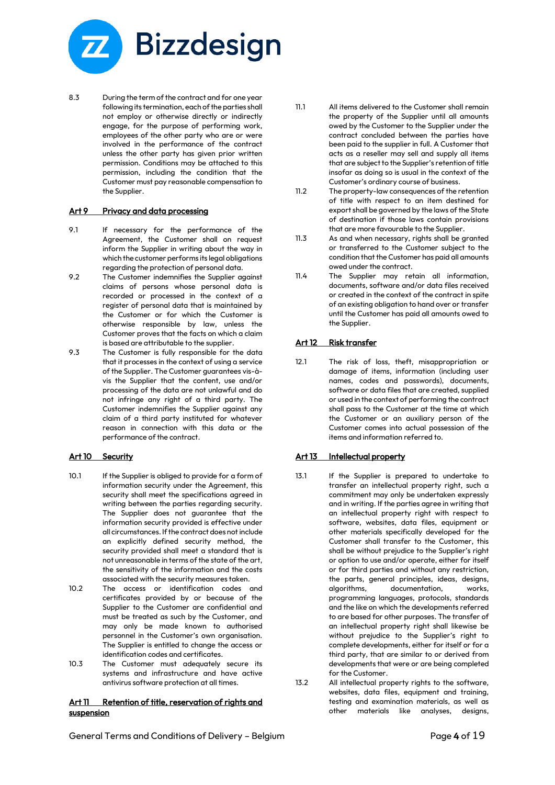

8.3 During the term of the contract and for one year following its termination, each of the parties shall not employ or otherwise directly or indirectly engage, for the purpose of performing work, employees of the other party who are or were involved in the performance of the contract unless the other party has given prior written permission. Conditions may be attached to this permission, including the condition that the Customer must pay reasonable compensation to the Supplier.

#### Art 9 Privacy and data processing

- 9.1 If necessary for the performance of the Agreement, the Customer shall on request inform the Supplier in writing about the way in which the customer performs its legal obligations regarding the protection of personal data.
- 9.2 The Customer indemnifies the Supplier against claims of persons whose personal data is recorded or processed in the context of a register of personal data that is maintained by the Customer or for which the Customer is otherwise responsible by law, unless the Customer proves that the facts on which a claim is based are attributable to the supplier.
- 9.3 The Customer is fully responsible for the data that it processes in the context of using a service of the Supplier. The Customer guarantees vis-àvis the Supplier that the content, use and/or processing of the data are not unlawful and do not infringe any right of a third party. The Customer indemnifies the Supplier against any claim of a third party instituted for whatever reason in connection with this data or the performance of the contract.

## Art 10 Security

- 10.1 If the Supplier is obliged to provide for a form of information security under the Agreement, this security shall meet the specifications agreed in writing between the parties regarding security. The Supplier does not guarantee that the information security provided is effective under all circumstances. If the contract does not include an explicitly defined security method, the security provided shall meet a standard that is not unreasonable in terms of the state of the art, the sensitivity of the information and the costs associated with the security measures taken.
- 10.2 The access or identification codes and certificates provided by or because of the Supplier to the Customer are confidential and must be treated as such by the Customer, and may only be made known to authorised personnel in the Customer's own organisation. The Supplier is entitled to change the access or identification codes and certificates.
- 10.3 The Customer must adequately secure its systems and infrastructure and have active antivirus software protection at all times.

#### Art 11 Retention of title, reservation of rights and suspension

- 11.1 All items delivered to the Customer shall remain the property of the Supplier until all amounts owed by the Customer to the Supplier under the contract concluded between the parties have been paid to the supplier in full. A Customer that acts as a reseller may sell and supply all items that are subject to the Supplier's retention of title insofar as doing so is usual in the context of the Customer's ordinary course of business.
- 11.2 The property-law consequences of the retention of title with respect to an item destined for export shall be governed by the laws of the State of destination if those laws contain provisions that are more favourable to the Supplier.
- 11.3 As and when necessary, rights shall be granted or transferred to the Customer subject to the condition that the Customer has paid all amounts owed under the contract.
- 11.4 The Supplier may retain all information, documents, software and/or data files received or created in the context of the contract in spite of an existing obligation to hand over or transfer until the Customer has paid all amounts owed to the Supplier.

#### Art 12 Risk transfer

12.1 The risk of loss, theft, misappropriation or damage of items, information (including user names, codes and passwords), documents, software or data files that are created, supplied or used in the context of performing the contract shall pass to the Customer at the time at which the Customer or an auxiliary person of the Customer comes into actual possession of the items and information referred to.

## Art 13 Intellectual property

- 13.1 If the Supplier is prepared to undertake to transfer an intellectual property right, such a commitment may only be undertaken expressly and in writing. If the parties agree in writing that an intellectual property right with respect to software, websites, data files, equipment or other materials specifically developed for the Customer shall transfer to the Customer, this shall be without prejudice to the Supplier's right or option to use and/or operate, either for itself or for third parties and without any restriction, the parts, general principles, ideas, designs, algorithms, documentation, works, programming languages, protocols, standards and the like on which the developments referred to are based for other purposes. The transfer of an intellectual property right shall likewise be without prejudice to the Supplier's right to complete developments, either for itself or for a third party, that are similar to or derived from developments that were or are being completed for the Customer.
- 13.2 All intellectual property rights to the software, websites, data files, equipment and training, testing and examination materials, as well as other materials like analyses, designs,

General Terms and Conditions of Delivery - Belgium entity of the state of the Page 4 of 19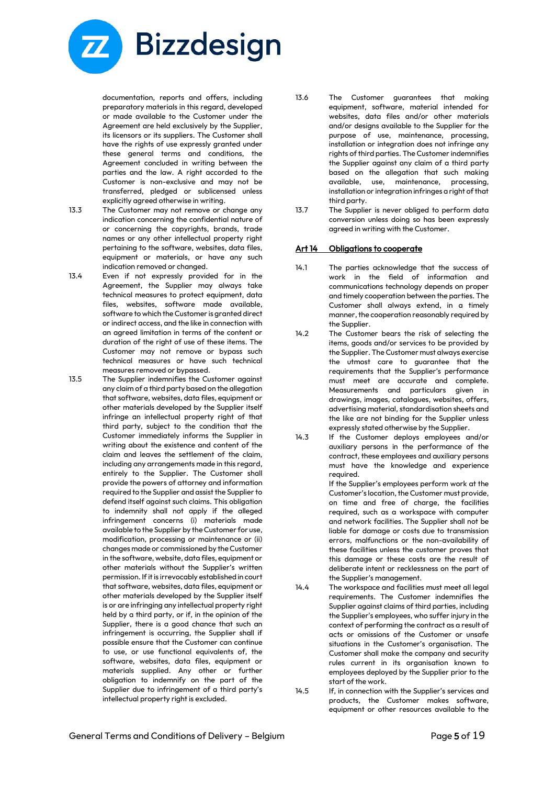

documentation, reports and offers, including preparatory materials in this regard, developed or made available to the Customer under the Agreement are held exclusively by the Supplier, its licensors or its suppliers. The Customer shall have the rights of use expressly granted under these general terms and conditions, the Agreement concluded in writing between the parties and the law. A right accorded to the Customer is non-exclusive and may not be transferred, pledged or sublicensed unless explicitly agreed otherwise in writing.

- 
- 13.3 The Customer may not remove or change any indication concerning the confidential nature of or concerning the copyrights, brands, trade names or any other intellectual property right pertaining to the software, websites, data files, equipment or materials, or have any such indication removed or changed.
- 13.4 Even if not expressly provided for in the Agreement, the Supplier may always take technical measures to protect equipment, data files, websites, software made available, software to which the Customer is granted direct or indirect access, and the like in connection with an agreed limitation in terms of the content or duration of the right of use of these items. The Customer may not remove or bypass such technical measures or have such technical measures removed or bypassed.

13.5 The Supplier indemnifies the Customer against any claim of a third party based on the allegation that software, websites, data files, equipment or other materials developed by the Supplier itself infringe an intellectual property right of that third party, subject to the condition that the Customer immediately informs the Supplier in writing about the existence and content of the claim and leaves the settlement of the claim, including any arrangements made in this regard, entirely to the Supplier. The Customer shall provide the powers of attorney and information required to the Supplier and assist the Supplier to defend itself against such claims. This obligation to indemnity shall not apply if the alleged infringement concerns (i) materials made available to the Supplier by the Customer for use, modification, processing or maintenance or (ii) changes made or commissioned by the Customer in the software, website, data files, equipment or other materials without the Supplier's written permission. If it is irrevocably established in court that software, websites, data files, equipment or other materials developed by the Supplier itself is or are infringing any intellectual property right held by a third party, or if, in the opinion of the Supplier, there is a good chance that such an infringement is occurring, the Supplier shall if possible ensure that the Customer can continue to use, or use functional equivalents of, the software, websites, data files, equipment or materials supplied. Any other or further obligation to indemnify on the part of the Supplier due to infringement of a third party's intellectual property right is excluded.

- 13.6 The Customer guarantees that making equipment, software, material intended for websites, data files and/or other materials and/or designs available to the Supplier for the purpose of use, maintenance, processing, installation or integration does not infringe any rights of third parties. The Customer indemnifies the Supplier against any claim of a third party based on the allegation that such making available, use, maintenance, processing, installation or integration infringes a right of that third party.
- 13.7 The Supplier is never obliged to perform data conversion unless doing so has been expressly agreed in writing with the Customer.

## Art 14 Obligations to cooperate

- 14.1 The parties acknowledge that the success of work in the field of information and communications technology depends on proper and timely cooperation between the parties. The Customer shall always extend, in a timely manner, the cooperation reasonably required by the Supplier.
- 14.2 The Customer bears the risk of selecting the items, goods and/or services to be provided by the Supplier. The Customer must always exercise the utmost care to guarantee that the requirements that the Supplier's performance must meet are accurate and complete. Measurements and particulars given in drawings, images, catalogues, websites, offers, advertising material, standardisation sheets and the like are not binding for the Supplier unless expressly stated otherwise by the Supplier.
- 14.3 If the Customer deploys employees and/or auxiliary persons in the performance of the contract, these employees and auxiliary persons must have the knowledge and experience required.

If the Supplier's employees perform work at the Customer's location, the Customer must provide, on time and free of charge, the facilities required, such as a workspace with computer and network facilities. The Supplier shall not be liable for damage or costs due to transmission errors, malfunctions or the non-availability of these facilities unless the customer proves that this damage or these costs are the result of deliberate intent or recklessness on the part of the Supplier's management.

- 14.4 The workspace and facilities must meet all legal requirements. The Customer indemnifies the Supplier against claims of third parties, including the Supplier's employees, who suffer injury in the context of performing the contract as a result of acts or omissions of the Customer or unsafe situations in the Customer's organisation. The Customer shall make the company and security rules current in its organisation known to employees deployed by the Supplier prior to the start of the work.
- 14.5 If, in connection with the Supplier's services and products, the Customer makes software, equipment or other resources available to the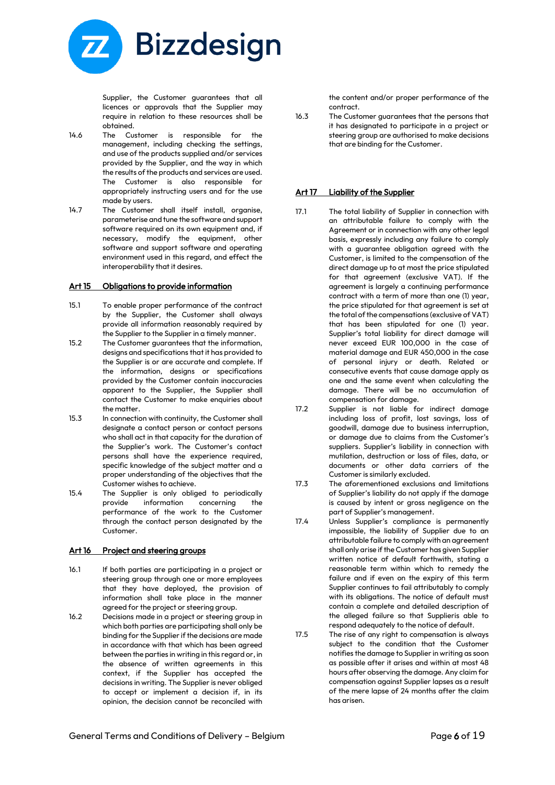

Supplier, the Customer guarantees that all licences or approvals that the Supplier may require in relation to these resources shall be obtained.

- 14.6 The Customer is responsible for the management, including checking the settings, and use of the products supplied and/or services provided by the Supplier, and the way in which the results of the products and services are used. The Customer is also responsible for appropriately instructing users and for the use made by users.
- 14.7 The Customer shall itself install, organise, parameterise and tune the software and support software required on its own equipment and, if necessary, modify the equipment, other software and support software and operating environment used in this regard, and effect the interoperability that it desires.

## Art 15 Obligations to provide information

- 15.1 To enable proper performance of the contract by the Supplier, the Customer shall always provide all information reasonably required by the Supplier to the Supplier in a timely manner.
- 15.2 The Customer guarantees that the information, designs and specifications that it has provided to the Supplier is or are accurate and complete. If the information, designs or specifications provided by the Customer contain inaccuracies apparent to the Supplier, the Supplier shall contact the Customer to make enquiries about the matter.
- 15.3 In connection with continuity, the Customer shall designate a contact person or contact persons who shall act in that capacity for the duration of the Supplier's work. The Customer's contact persons shall have the experience required, specific knowledge of the subject matter and a proper understanding of the objectives that the Customer wishes to achieve.
- 15.4 The Supplier is only obliged to periodically provide information concerning the performance of the work to the Customer through the contact person designated by the Customer.

#### Art 16 Project and steering groups

- 16.1 If both parties are participating in a project or steering group through one or more employees that they have deployed, the provision of information shall take place in the manner agreed for the project or steering group.
- 16.2 Decisions made in a project or steering group in which both parties are participating shall only be binding for the Supplier if the decisions are made in accordance with that which has been agreed between the parties in writing in this regard or, in the absence of written agreements in this context, if the Supplier has accepted the decisions in writing. The Supplier is never obliged to accept or implement a decision if, in its opinion, the decision cannot be reconciled with

the content and/or proper performance of the contract.

16.3 The Customer guarantees that the persons that it has designated to participate in a project or steering group are authorised to make decisions that are binding for the Customer.

## Art 17 Liability of the Supplier

- 17.1 The total liability of Supplier in connection with an attributable failure to comply with the Agreement or in connection with any other legal basis, expressly including any failure to comply with a guarantee obligation agreed with the Customer, is limited to the compensation of the direct damage up to at most the price stipulated for that agreement (exclusive VAT). If the agreement is largely a continuing performance contract with a term of more than one (1) year, the price stipulated for that agreement is set at the total of the compensations (exclusive of VAT) that has been stipulated for one (1) year. Supplier's total liability for direct damage will never exceed EUR 100,000 in the case of material damage and EUR 450,000 in the case of personal injury or death. Related or consecutive events that cause damage apply as one and the same event when calculating the damage. There will be no accumulation of compensation for damage.
- 17.2 Supplier is not liable for indirect damage including loss of profit, lost savings, loss of goodwill, damage due to business interruption, or damage due to claims from the Customer's suppliers. Supplier's liability in connection with mutilation, destruction or loss of files, data, or documents or other data carriers of the Customer is similarly excluded.
- 17.3 The aforementioned exclusions and limitations of Supplier's liability do not apply if the damage is caused by intent or gross negligence on the part of Supplier's management.
- 17.4 Unless Supplier's compliance is permanently impossible, the liability of Supplier due to an attributable failure to comply with an agreement shall only arise if the Customer has given Supplier written notice of default forthwith, stating a reasonable term within which to remedy the failure and if even on the expiry of this term Supplier continues to fail attributably to comply with its obligations. The notice of default must contain a complete and detailed description of the alleged failure so that Supplieris able to respond adequately to the notice of default.
- 17.5 The rise of any right to compensation is always subject to the condition that the Customer notifies the damage to Supplier in writing as soon as possible after it arises and within at most 48 hours after observing the damage. Any claim for compensation against Supplier lapses as a result of the mere lapse of 24 months after the claim has arisen.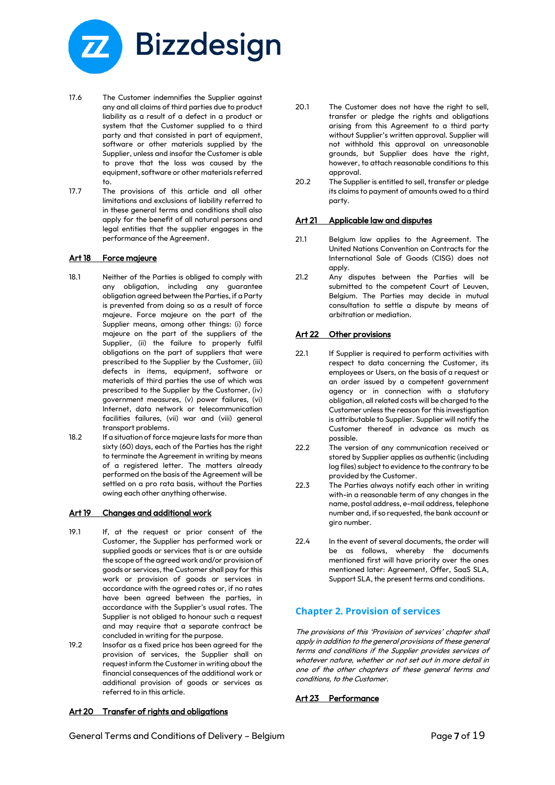

- 17.6 The Customer indemnifies the Supplier against any and all claims of third parties due to product liability as a result of a defect in a product or system that the Customer supplied to a third party and that consisted in part of equipment, software or other materials supplied by the Supplier, unless and insofar the Customer is able to prove that the loss was caused by the equipment, software or other materials referred to.
- 17.7 The provisions of this article and all other limitations and exclusions of liability referred to in these general terms and conditions shall also apply for the benefit of all natural persons and legal entities that the supplier engages in the performance of the Agreement.

#### Art 18 Force majeure

- 18.1 Neither of the Parties is obliged to comply with any obligation, including any guarantee obligation agreed between the Parties, if a Party is prevented from doing so as a result of force majeure. Force majeure on the part of the Supplier means, among other things: (i) force majeure on the part of the suppliers of the Supplier, (ii) the failure to properly fulfil obligations on the part of suppliers that were prescribed to the Supplier by the Customer, (iii) defects in items, equipment, software or materials of third parties the use of which was prescribed to the Supplier by the Customer, (iv) government measures, (v) power failures, (vi) Internet, data network or telecommunication facilities failures, (vii) war and (viii) general transport problems.
- 18.2 If a situation of force majeure lasts for more than sixty (60) days, each of the Parties has the right to terminate the Agreement in writing by means of a registered letter. The matters already performed on the basis of the Agreement will be settled on a pro rata basis, without the Parties owing each other anything otherwise.

## Art 19 Changes and additional work

- 19.1 If, at the request or prior consent of the Customer, the Supplier has performed work or supplied goods or services that is or are outside the scope of the agreed work and/or provision of goods or services, the Customer shall pay for this work or provision of goods or services in accordance with the agreed rates or, if no rates have been agreed between the parties, in accordance with the Supplier's usual rates. The Supplier is not obliged to honour such a request and may require that a separate contract be concluded in writing for the purpose.
- 19.2 Insofar as a fixed price has been agreed for the provision of services, the Supplier shall on request inform the Customer in writing about the financial consequences of the additional work or additional provision of goods or services as referred to in this article.

#### Art 20 Transfer of rights and obligations

- 20.1 The Customer does not have the right to sell, transfer or pledge the rights and obligations arising from this Agreement to a third party without Supplier's written approval. Supplier will not withhold this approval on unreasonable grounds, but Supplier does have the right, however, to attach reasonable conditions to this approval.
- 20.2 The Supplier is entitled to sell, transfer or pledge its claims to payment of amounts owed to a third party.

#### Art 21 Applicable law and disputes

- 21.1 Belgium law applies to the Agreement. The United Nations Convention on Contracts for the International Sale of Goods (CISG) does not apply.
- 21.2 Any disputes between the Parties will be submitted to the competent Court of Leuven, Belgium. The Parties may decide in mutual consultation to settle a dispute by means of arbitration or mediation.

## Art 22 Other provisions

- 22.1 If Supplier is required to perform activities with respect to data concerning the Customer, its employees or Users, on the basis of a request or an order issued by a competent government agency or in connection with a statutory obligation, all related costs will be charged to the Customer unless the reason for this investigation is attributable to Supplier. Supplier will notify the Customer thereof in advance as much as possible.
- 22.2 The version of any communication received or stored by Supplier applies as authentic (including log files) subject to evidence to the contrary to be provided by the Customer.
- 22.3 The Parties always notify each other in writing with-in a reasonable term of any changes in the name, postal address, e-mail address, telephone number and, if so requested, the bank account or giro number.
- 22.4 In the event of several documents, the order will be as follows, whereby the documents mentioned first will have priority over the ones mentioned later: Agreement, Offer, SaaS SLA, Support SLA, the present terms and conditions.

# **Chapter 2. Provision of services**

The provisions of this 'Provision of services' chapter shall apply in addition to the general provisions of these general terms and conditions if the Supplier provides services of whatever nature, whether or not set out in more detail in one of the other chapters of these general terms and conditions, to the Customer.

## Art 23 Performance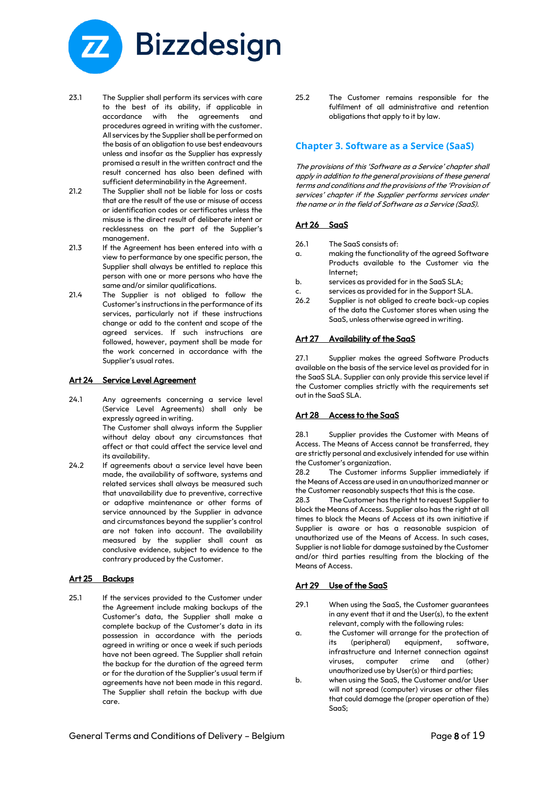

- 23.1 The Supplier shall perform its services with care to the best of its ability, if applicable in accordance with the agreements and procedures agreed in writing with the customer. All services by the Supplier shall be performed on the basis of an obligation to use best endeavours unless and insofar as the Supplier has expressly promised a result in the written contract and the result concerned has also been defined with sufficient determinability in the Agreement.
- 21.2 The Supplier shall not be liable for loss or costs that are the result of the use or misuse of access or identification codes or certificates unless the misuse is the direct result of deliberate intent or recklessness on the part of the Supplier's management.
- 21.3 If the Agreement has been entered into with a view to performance by one specific person, the Supplier shall always be entitled to replace this person with one or more persons who have the same and/or similar qualifications.
- 21.4 The Supplier is not obliged to follow the Customer's instructions in the performance of its services, particularly not if these instructions change or add to the content and scope of the agreed services. If such instructions are followed, however, payment shall be made for the work concerned in accordance with the Supplier's usual rates.

#### Art 24 Service Level Agreement

- 24.1 Any agreements concerning a service level (Service Level Agreements) shall only be expressly agreed in writing. The Customer shall always inform the Supplier without delay about any circumstances that affect or that could affect the service level and
- its availability. 24.2 If agreements about a service level have been made, the availability of software, systems and related services shall always be measured such that unavailability due to preventive, corrective or adaptive maintenance or other forms of service announced by the Supplier in advance and circumstances beyond the supplier's control are not taken into account. The availability measured by the supplier shall count as conclusive evidence, subject to evidence to the contrary produced by the Customer.

#### Art 25 Backups

25.1 If the services provided to the Customer under the Agreement include making backups of the Customer's data, the Supplier shall make a complete backup of the Customer's data in its possession in accordance with the periods agreed in writing or once a week if such periods have not been agreed. The Supplier shall retain the backup for the duration of the agreed term or for the duration of the Supplier's usual term if agreements have not been made in this regard. The Supplier shall retain the backup with due care.

25.2 The Customer remains responsible for the fulfilment of all administrative and retention obligations that apply to it by law.

## **Chapter 3. Software as a Service (SaaS)**

The provisions of this 'Software as a Service' chapter shall apply in addition to the general provisions of these general terms and conditions and the provisions of the 'Provision of services' chapter if the Supplier performs services under the name or in the field of Software as a Service (SaaS).

#### Art 26 SaaS

- 26.1 The SaaS consists of:
- a. making the functionality of the agreed Software Products available to the Customer via the Internet;
- b. services as provided for in the SaaS SLA;
- c. services as provided for in the Support SLA.
- 26.2 Supplier is not obliged to create back-up copies of the data the Customer stores when using the SaaS, unless otherwise agreed in writing.

#### Art 27 Availability of the SaaS

27.1 Supplier makes the agreed Software Products available on the basis of the service level as provided for in the SaaS SLA. Supplier can only provide this service level if the Customer complies strictly with the requirements set out in the SaaS SLA.

#### Art 28 Access to the SaaS

28.1 Supplier provides the Customer with Means of Access. The Means of Access cannot be transferred, they are strictly personal and exclusively intended for use within the Customer's organization.

28.2 The Customer informs Supplier immediately if the Means of Access are used in an unauthorized manner or the Customer reasonably suspects that this is the case.

28.3 The Customer has the right to request Supplier to block the Means of Access. Supplier also has the right at all times to block the Means of Access at its own initiative if Supplier is aware or has a reasonable suspicion of unauthorized use of the Means of Access. In such cases, Supplier is not liable for damage sustained by the Customer and/or third parties resulting from the blocking of the Means of Access.

#### Art 29 Use of the SaaS

- 29.1 When using the SaaS, the Customer guarantees in any event that it and the User(s), to the extent relevant, comply with the following rules:
- a. the Customer will arrange for the protection of its (peripheral) equipment, software, infrastructure and Internet connection against viruses, computer crime and (other) unauthorized use by User(s) or third parties;
- b. when using the SaaS, the Customer and/or User will not spread (computer) viruses or other files that could damage the (proper operation of the) SaaS;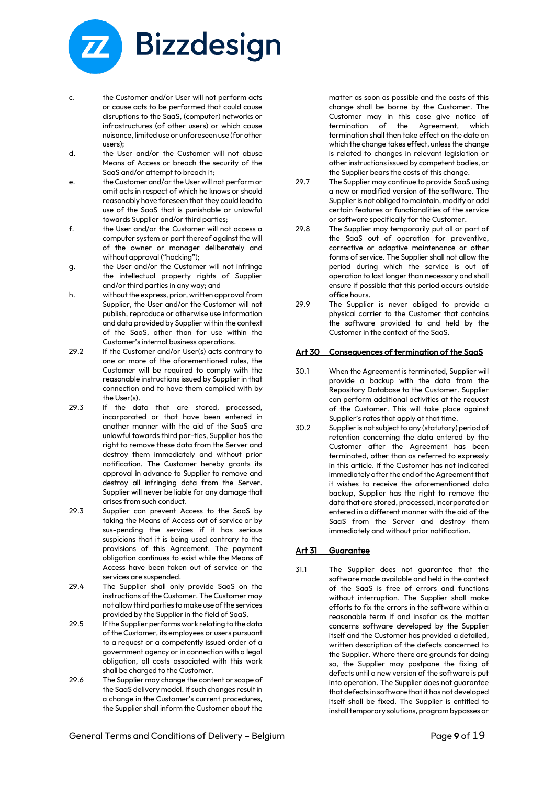

- c. the Customer and/or User will not perform acts or cause acts to be performed that could cause disruptions to the SaaS, (computer) networks or infrastructures (of other users) or which cause nuisance, limited use or unforeseen use (for other users);
- d. the User and/or the Customer will not abuse Means of Access or breach the security of the SaaS and/or attempt to breach it;
- e. the Customer and/or the User will not perform or omit acts in respect of which he knows or should reasonably have foreseen that they could lead to use of the SaaS that is punishable or unlawful towards Supplier and/or third parties;
- f. the User and/or the Customer will not access a computer system or part thereof against the will of the owner or manager deliberately and without approval ("hacking");
- g. the User and/or the Customer will not infringe the intellectual property rights of Supplier and/or third parties in any way; and
- h. without the express, prior, written approval from Supplier, the User and/or the Customer will not publish, reproduce or otherwise use information and data provided by Supplier within the context of the SaaS, other than for use within the Customer's internal business operations.
- 29.2 If the Customer and/or User(s) acts contrary to one or more of the aforementioned rules, the Customer will be required to comply with the reasonable instructions issued by Supplier in that connection and to have them complied with by the User(s).
- 29.3 If the data that are stored, processed, incorporated or that have been entered in another manner with the aid of the SaaS are unlawful towards third par-ties, Supplier has the right to remove these data from the Server and destroy them immediately and without prior notification. The Customer hereby grants its approval in advance to Supplier to remove and destroy all infringing data from the Server. Supplier will never be liable for any damage that arises from such conduct.
- 29.3 Supplier can prevent Access to the SaaS by taking the Means of Access out of service or by sus-pending the services if it has serious suspicions that it is being used contrary to the provisions of this Agreement. The payment obligation continues to exist while the Means of Access have been taken out of service or the services are suspended.
- 29.4 The Supplier shall only provide SaaS on the instructions of the Customer. The Customer may not allow third parties to make use of the services provided by the Supplier in the field of SaaS.
- 29.5 If the Supplier performs work relating to the data of the Customer, its employees or users pursuant to a request or a competently issued order of a government agency or in connection with a legal obligation, all costs associated with this work shall be charged to the Customer.
- 29.6 The Supplier may change the content or scope of the SaaS delivery model. If such changes result in a change in the Customer's current procedures, the Supplier shall inform the Customer about the

matter as soon as possible and the costs of this change shall be borne by the Customer. The Customer may in this case give notice of termination of the Agreement, which termination shall then take effect on the date on which the change takes effect, unless the change is related to changes in relevant legislation or other instructions issued by competent bodies, or the Supplier bears the costs of this change.

- 29.7 The Supplier may continue to provide SaaS using a new or modified version of the software. The Supplier is not obliged to maintain, modify or add certain features or functionalities of the service or software specifically for the Customer.
- 29.8 The Supplier may temporarily put all or part of the SaaS out of operation for preventive, corrective or adaptive maintenance or other forms of service. The Supplier shall not allow the period during which the service is out of operation to last longer than necessary and shall ensure if possible that this period occurs outside office hours.
- 29.9 The Supplier is never obliged to provide a physical carrier to the Customer that contains the software provided to and held by the Customer in the context of the SaaS.

## Art 30 Consequences of termination of the SaaS

- 30.1 When the Agreement is terminated, Supplier will provide a backup with the data from the Repository Database to the Customer. Supplier can perform additional activities at the request of the Customer. This will take place against Supplier's rates that apply at that time.
- 30.2 Supplier is not subject to any (statutory) period of retention concerning the data entered by the Customer after the Agreement has been terminated, other than as referred to expressly in this article. If the Customer has not indicated immediately after the end of the Agreement that it wishes to receive the aforementioned data backup, Supplier has the right to remove the data that are stored, processed, incorporated or entered in a different manner with the aid of the SaaS from the Server and destroy them immediately and without prior notification.

## Art 31 Guarantee

31.1 The Supplier does not guarantee that the software made available and held in the context of the SaaS is free of errors and functions without interruption. The Supplier shall make efforts to fix the errors in the software within a reasonable term if and insofar as the matter concerns software developed by the Supplier itself and the Customer has provided a detailed, written description of the defects concerned to the Supplier. Where there are grounds for doing so, the Supplier may postpone the fixing of defects until a new version of the software is put into operation. The Supplier does not guarantee that defects in software that it has not developed itself shall be fixed. The Supplier is entitled to install temporary solutions, program bypasses or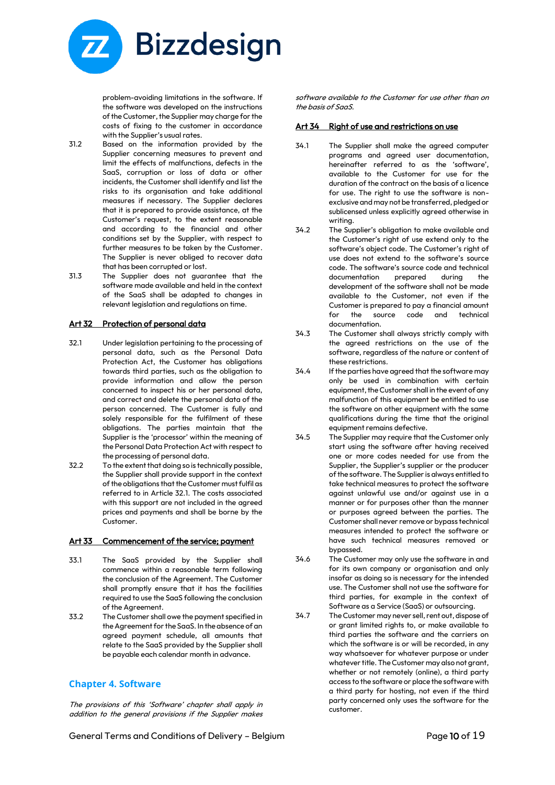

problem-avoiding limitations in the software. If the software was developed on the instructions of the Customer, the Supplier may charge for the costs of fixing to the customer in accordance with the Supplier's usual rates.

- 31.2 Based on the information provided by the Supplier concerning measures to prevent and limit the effects of malfunctions, defects in the SaaS, corruption or loss of data or other incidents, the Customer shall identify and list the risks to its organisation and take additional measures if necessary. The Supplier declares that it is prepared to provide assistance, at the Customer's request, to the extent reasonable and according to the financial and other conditions set by the Supplier, with respect to further measures to be taken by the Customer. The Supplier is never obliged to recover data that has been corrupted or lost.
- 31.3 The Supplier does not guarantee that the software made available and held in the context of the SaaS shall be adapted to changes in relevant legislation and regulations on time.

#### Art 32 Protection of personal data

- 32.1 Under legislation pertaining to the processing of personal data, such as the Personal Data Protection Act, the Customer has obligations towards third parties, such as the obligation to provide information and allow the person concerned to inspect his or her personal data, and correct and delete the personal data of the person concerned. The Customer is fully and solely responsible for the fulfilment of these obligations. The parties maintain that the Supplier is the 'processor' within the meaning of the Personal Data Protection Act with respect to the processing of personal data.
- 32.2 To the extent that doing so is technically possible, the Supplier shall provide support in the context of the obligations that the Customer must fulfil as referred to in Article 32.1. The costs associated with this support are not included in the agreed prices and payments and shall be borne by the Customer.

#### Art 33 Commencement of the service; payment

- 33.1 The SaaS provided by the Supplier shall commence within a reasonable term following the conclusion of the Agreement. The Customer shall promptly ensure that it has the facilities required to use the SaaS following the conclusion of the Agreement.
- 33.2 The Customer shall owe the payment specified in the Agreement for the SaaS. In the absence of an agreed payment schedule, all amounts that relate to the SaaS provided by the Supplier shall be payable each calendar month in advance.

# **Chapter 4. Software**

The provisions of this 'Software' chapter shall apply in addition to the general provisions if the Supplier makes software available to the Customer for use other than on the basis of SaaS.

#### Art 34 Right of use and restrictions on use

- 34.1 The Supplier shall make the agreed computer programs and agreed user documentation, hereinafter referred to as the 'software', available to the Customer for use for the duration of the contract on the basis of a licence for use. The right to use the software is nonexclusive and may not be transferred, pledged or sublicensed unless explicitly agreed otherwise in writing.
- 34.2 The Supplier's obligation to make available and the Customer's right of use extend only to the software's object code. The Customer's right of use does not extend to the software's source code. The software's source code and technical documentation prepared during the development of the software shall not be made available to the Customer, not even if the Customer is prepared to pay a financial amount for the source code and technical documentation.
- 34.3 The Customer shall always strictly comply with the agreed restrictions on the use of the software, regardless of the nature or content of these restrictions.
- 34.4 If the parties have agreed that the software may only be used in combination with certain equipment, the Customer shall in the event of any malfunction of this equipment be entitled to use the software on other equipment with the same qualifications during the time that the original equipment remains defective.
- 34.5 The Supplier may require that the Customer only start using the software after having received one or more codes needed for use from the Supplier, the Supplier's supplier or the producer of the software. The Supplier is always entitled to take technical measures to protect the software against unlawful use and/or against use in a manner or for purposes other than the manner or purposes agreed between the parties. The Customer shall never remove or bypass technical measures intended to protect the software or have such technical measures removed or bypassed.
- 34.6 The Customer may only use the software in and for its own company or organisation and only insofar as doing so is necessary for the intended use. The Customer shall not use the software for third parties, for example in the context of Software as a Service (SaaS) or outsourcing.
- 34.7 The Customer may never sell, rent out, dispose of or grant limited rights to, or make available to third parties the software and the carriers on which the software is or will be recorded, in any way whatsoever for whatever purpose or under whatever title. The Customer may also not grant, whether or not remotely (online), a third party access to the software or place the software with a third party for hosting, not even if the third party concerned only uses the software for the customer.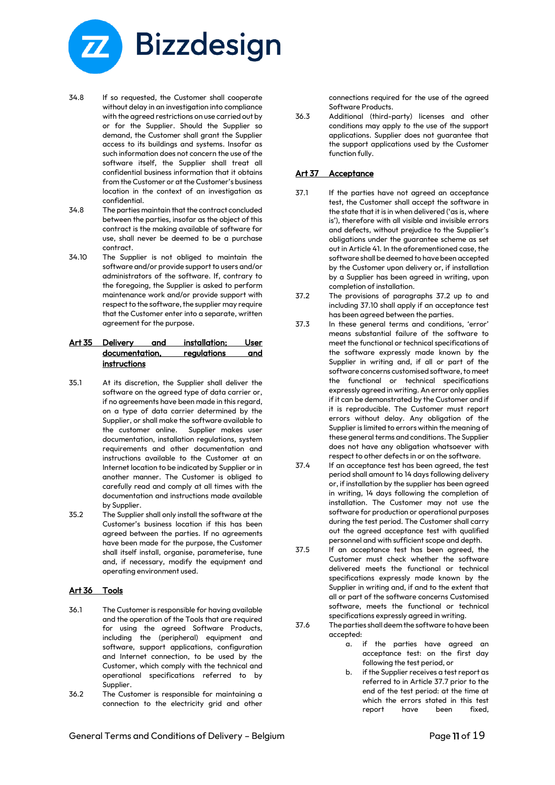

- 34.8 If so requested, the Customer shall cooperate without delay in an investigation into compliance with the agreed restrictions on use carried out by or for the Supplier. Should the Supplier so demand, the Customer shall grant the Supplier access to its buildings and systems. Insofar as such information does not concern the use of the software itself, the Supplier shall treat all confidential business information that it obtains from the Customer or at the Customer's business location in the context of an investigation as confidential.
- 34.8 The parties maintain that the contract concluded between the parties, insofar as the object of this contract is the making available of software for use, shall never be deemed to be a purchase contract.
- 34.10 The Supplier is not obliged to maintain the software and/or provide support to users and/or administrators of the software. If, contrary to the foregoing, the Supplier is asked to perform maintenance work and/or provide support with respect to the software, the supplier may require that the Customer enter into a separate, written agreement for the purpose.

## Art 35 Delivery and installation; User documentation, regulations and instructions

- 35.1 At its discretion, the Supplier shall deliver the software on the agreed type of data carrier or, if no agreements have been made in this regard, on a type of data carrier determined by the Supplier, or shall make the software available to the customer online. Supplier makes user documentation, installation regulations, system requirements and other documentation and instructions available to the Customer at an Internet location to be indicated by Supplier or in another manner. The Customer is obliged to carefully read and comply at all times with the documentation and instructions made available by Supplier.
- 35.2 The Supplier shall only install the software at the Customer's business location if this has been agreed between the parties. If no agreements have been made for the purpose, the Customer shall itself install, organise, parameterise, tune and, if necessary, modify the equipment and operating environment used.

#### Art 36 Tools

- 36.1 The Customer is responsible for having available and the operation of the Tools that are required for using the agreed Software Products, including the (peripheral) equipment and software, support applications, configuration and Internet connection, to be used by the Customer, which comply with the technical and operational specifications referred to by Supplier.
- 36.2 The Customer is responsible for maintaining a connection to the electricity grid and other

connections required for the use of the agreed Software Products.

36.3 Additional (third-party) licenses and other conditions may apply to the use of the support applications. Supplier does not guarantee that the support applications used by the Customer function fully.

## Art 37 Acceptance

- 37.1 If the parties have not agreed an acceptance test, the Customer shall accept the software in the state that it is in when delivered ('as is, where is'), therefore with all visible and invisible errors and defects, without prejudice to the Supplier's obligations under the guarantee scheme as set out in Article 41. In the aforementioned case, the software shall be deemed to have been accepted by the Customer upon delivery or, if installation by a Supplier has been agreed in writing, upon completion of installation.
- 37.2 The provisions of paragraphs 37.2 up to and including 37.10 shall apply if an acceptance test has been agreed between the parties.
- 37.3 In these general terms and conditions, 'error' means substantial failure of the software to meet the functional or technical specifications of the software expressly made known by the Supplier in writing and, if all or part of the software concerns customised software, to meet the functional or technical specifications expressly agreed in writing. An error only applies if it can be demonstrated by the Customer and if it is reproducible. The Customer must report errors without delay. Any obligation of the Supplier is limited to errors within the meaning of these general terms and conditions. The Supplier does not have any obligation whatsoever with respect to other defects in or on the software.
- 37.4 If an acceptance test has been agreed, the test period shall amount to 14 days following delivery or, if installation by the supplier has been agreed in writing, 14 days following the completion of installation. The Customer may not use the software for production or operational purposes during the test period. The Customer shall carry out the agreed acceptance test with qualified personnel and with sufficient scope and depth.
- 37.5 If an acceptance test has been agreed, the Customer must check whether the software delivered meets the functional or technical specifications expressly made known by the Supplier in writing and, if and to the extent that all or part of the software concerns Customised software, meets the functional or technical specifications expressly agreed in writing.
- 37.6 The parties shall deem the software to have been accepted:
	- a. if the parties have agreed an acceptance test: on the first day following the test period, or
	- b. if the Supplier receives a test report as referred to in Article 37.7 prior to the end of the test period: at the time at which the errors stated in this test report have been fixed,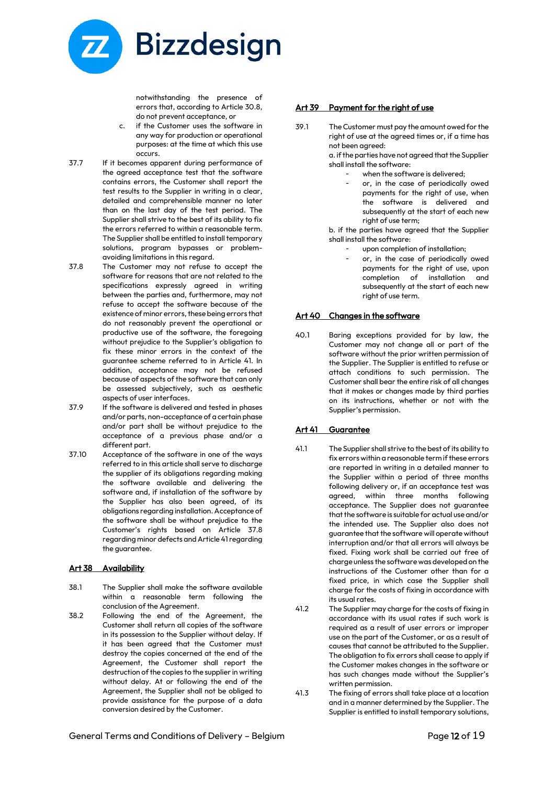

notwithstanding the presence of errors that, according to Article 30.8, do not prevent acceptance, or

- c. if the Customer uses the software in any way for production or operational purposes: at the time at which this use occurs.
- 37.7 If it becomes apparent during performance of the agreed acceptance test that the software contains errors, the Customer shall report the test results to the Supplier in writing in a clear, detailed and comprehensible manner no later than on the last day of the test period. The Supplier shall strive to the best of its ability to fix the errors referred to within a reasonable term. The Supplier shall be entitled to install temporary solutions, program bypasses or problemavoiding limitations in this regard.
- 37.8 The Customer may not refuse to accept the software for reasons that are not related to the specifications expressly agreed in writing between the parties and, furthermore, may not refuse to accept the software because of the existence of minor errors, these being errors that do not reasonably prevent the operational or productive use of the software, the foregoing without prejudice to the Supplier's obligation to fix these minor errors in the context of the guarantee scheme referred to in Article 41. In addition, acceptance may not be refused because of aspects of the software that can only be assessed subjectively, such as aesthetic aspects of user interfaces.
- 37.9 If the software is delivered and tested in phases and/or parts, non-acceptance of a certain phase and/or part shall be without prejudice to the acceptance of a previous phase and/or a different part.
- 37.10 Acceptance of the software in one of the ways referred to in this article shall serve to discharge the supplier of its obligations regarding making the software available and delivering the software and, if installation of the software by the Supplier has also been agreed, of its obligations regarding installation. Acceptance of the software shall be without prejudice to the Customer's rights based on Article 37.8 regarding minor defects and Article 41 regarding the guarantee.

## Art 38 Availability

- 38.1 The Supplier shall make the software available within a reasonable term following the conclusion of the Agreement.
- 38.2 Following the end of the Agreement, the Customer shall return all copies of the software in its possession to the Supplier without delay. If it has been agreed that the Customer must destroy the copies concerned at the end of the Agreement, the Customer shall report the destruction of the copies to the supplier in writing without delay. At or following the end of the Agreement, the Supplier shall not be obliged to provide assistance for the purpose of a data conversion desired by the Customer.

#### Art 39 Payment for the right of use

39.1 The Customer must pay the amount owed for the right of use at the agreed times or, if a time has not been agreed:

a. if the parties have not agreed that the Supplier shall install the software:

- when the software is delivered:
- or, in the case of periodically owed payments for the right of use, when the software is delivered and subsequently at the start of each new right of use term:

b. if the parties have agreed that the Supplier shall install the software:

- upon completion of installation;
- or, in the case of periodically owed payments for the right of use, upon completion of installation and subsequently at the start of each new right of use term.

#### Art 40 Changes in the software

40.1 Baring exceptions provided for by law, the Customer may not change all or part of the software without the prior written permission of the Supplier. The Supplier is entitled to refuse or attach conditions to such permission. The Customer shall bear the entire risk of all changes that it makes or changes made by third parties on its instructions, whether or not with the Supplier's permission.

## Art 41 Guarantee

- 41.1 The Supplier shall strive to the best of its ability to fix errors within a reasonable term if these errors are reported in writing in a detailed manner to the Supplier within a period of three months following delivery or, if an acceptance test was agreed, within three months following acceptance. The Supplier does not guarantee that the software is suitable for actual use and/or the intended use. The Supplier also does not guarantee that the software will operate without interruption and/or that all errors will always be fixed. Fixing work shall be carried out free of charge unless the software was developed on the instructions of the Customer other than for a fixed price, in which case the Supplier shall charge for the costs of fixing in accordance with its usual rates.
- 41.2 The Supplier may charge for the costs of fixing in accordance with its usual rates if such work is required as a result of user errors or improper use on the part of the Customer, or as a result of causes that cannot be attributed to the Supplier. The obligation to fix errors shall cease to apply if the Customer makes changes in the software or has such changes made without the Supplier's written permission.
- 41.3 The fixing of errors shall take place at a location and in a manner determined by the Supplier. The Supplier is entitled to install temporary solutions,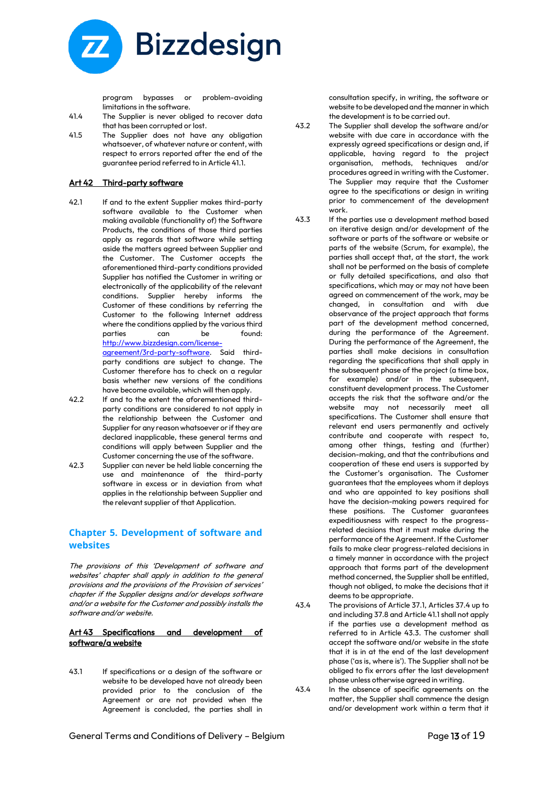

program bypasses or problem-avoiding limitations in the software.

- 41.4 The Supplier is never obliged to recover data that has been corrupted or lost.
- 41.5 The Supplier does not have any obligation whatsoever, of whatever nature or content, with respect to errors reported after the end of the guarantee period referred to in Article 41.1.

#### Art 42 Third-party software

42.1 If and to the extent Supplier makes third-party software available to the Customer when making available (functionality of) the Software Products, the conditions of those third parties apply as regards that software while setting aside the matters agreed between Supplier and the Customer. The Customer accepts the aforementioned third-party conditions provided Supplier has notified the Customer in writing or electronically of the applicability of the relevant conditions. Supplier hereby informs the Customer of these conditions by referring the Customer to the following Internet address where the conditions applied by the various third parties can be found: [http://www.bizzdesign.com/license](http://www.bizzdesign.com/license-agreement/3rd-party-software)[agreement/3rd-party-software.](http://www.bizzdesign.com/license-agreement/3rd-party-software) Said third-

party conditions are subject to change. The Customer therefore has to check on a regular basis whether new versions of the conditions have become available, which will then apply.

- 42.2 If and to the extent the aforementioned thirdparty conditions are considered to not apply in the relationship between the Customer and Supplier for any reason whatsoever or if they are declared inapplicable, these general terms and conditions will apply between Supplier and the Customer concerning the use of the software.
- 42.3 Supplier can never be held liable concerning the use and maintenance of the third-party software in excess or in deviation from what applies in the relationship between Supplier and the relevant supplier of that Application.

## **Chapter 5. Development of software and websites**

The provisions of this 'Development of software and websites' chapter shall apply in addition to the general provisions and the provisions of the Provision of services' chapter if the Supplier designs and/or develops software and/or a website for the Customer and possibly installs the software and/or website.

#### Art 43 Specifications and development of software/a website

43.1 If specifications or a design of the software or website to be developed have not already been provided prior to the conclusion of the Agreement or are not provided when the Agreement is concluded, the parties shall in

consultation specify, in writing, the software or website to be developed and the manner in which the development is to be carried out.

- 43.2 The Supplier shall develop the software and/or website with due care in accordance with the expressly agreed specifications or design and, if applicable, having regard to the project organisation, methods, techniques and/or procedures agreed in writing with the Customer. The Supplier may require that the Customer agree to the specifications or design in writing prior to commencement of the development work.
- 43.3 If the parties use a development method based on iterative design and/or development of the software or parts of the software or website or parts of the website (Scrum, for example), the parties shall accept that, at the start, the work shall not be performed on the basis of complete or fully detailed specifications, and also that specifications, which may or may not have been agreed on commencement of the work, may be changed, in consultation and with due observance of the project approach that forms part of the development method concerned, during the performance of the Agreement. During the performance of the Agreement, the parties shall make decisions in consultation regarding the specifications that shall apply in the subsequent phase of the project (a time box, for example) and/or in the subsequent, constituent development process. The Customer accepts the risk that the software and/or the website may not necessarily meet all specifications. The Customer shall ensure that relevant end users permanently and actively contribute and cooperate with respect to, among other things, testing and (further) decision-making, and that the contributions and cooperation of these end users is supported by the Customer's organisation. The Customer guarantees that the employees whom it deploys and who are appointed to key positions shall have the decision-making powers required for these positions. The Customer guarantees expeditiousness with respect to the progressrelated decisions that it must make during the performance of the Agreement. If the Customer fails to make clear progress-related decisions in a timely manner in accordance with the project approach that forms part of the development method concerned, the Supplier shall be entitled, though not obliged, to make the decisions that it deems to be appropriate.
- 43.4 The provisions of Article 37.1, Articles 37.4 up to and including 37.8 and Article 41.1 shall not apply if the parties use a development method as referred to in Article 43.3. The customer shall accept the software and/or website in the state that it is in at the end of the last development phase ('as is, where is'). The Supplier shall not be obliged to fix errors after the last development phase unless otherwise agreed in writing.
- 43.4 In the absence of specific agreements on the matter, the Supplier shall commence the design and/or development work within a term that it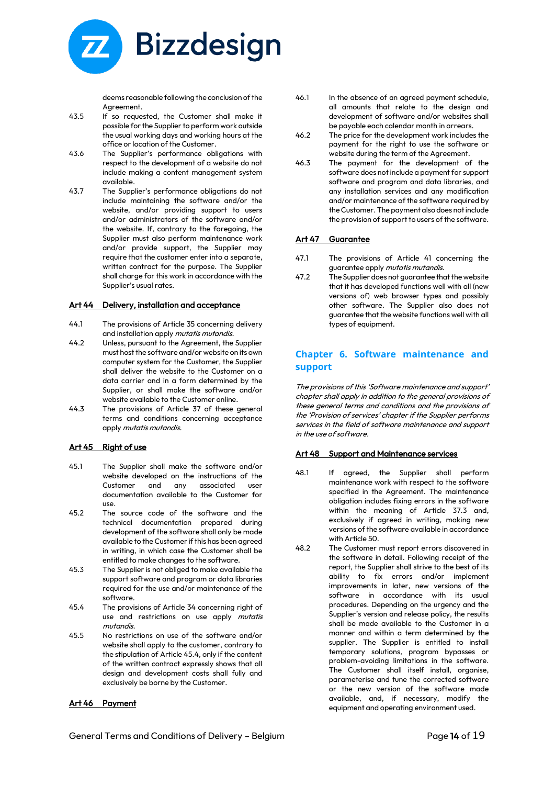

deems reasonable following the conclusion of the Agreement.

- 43.5 If so requested, the Customer shall make it possible for the Supplier to perform work outside the usual working days and working hours at the office or location of the Customer.
- 43.6 The Supplier's performance obligations with respect to the development of a website do not include making a content management system available.
- 43.7 The Supplier's performance obligations do not include maintaining the software and/or the website, and/or providing support to users and/or administrators of the software and/or the website. If, contrary to the foregoing, the Supplier must also perform maintenance work and/or provide support, the Supplier may require that the customer enter into a separate, written contract for the purpose. The Supplier shall charge for this work in accordance with the Supplier's usual rates.

#### Art 44 Delivery, installation and acceptance

- 44.1 The provisions of Article 35 concerning delivery and installation apply mutatis mutandis.
- 44.2 Unless, pursuant to the Agreement, the Supplier must host the software and/or website on its own computer system for the Customer, the Supplier shall deliver the website to the Customer on a data carrier and in a form determined by the Supplier, or shall make the software and/or website available to the Customer online.
- 44.3 The provisions of Article 37 of these general terms and conditions concerning acceptance apply mutatis mutandis.

## Art 45 Right of use

- 45.1 The Supplier shall make the software and/or website developed on the instructions of the Customer and any associated user documentation available to the Customer for use.
- 45.2 The source code of the software and the technical documentation prepared during development of the software shall only be made available to the Customer if this has been agreed in writing, in which case the Customer shall be entitled to make changes to the software.
- 45.3 The Supplier is not obliged to make available the support software and program or data libraries required for the use and/or maintenance of the software.
- 45.4 The provisions of Article 34 concerning right of use and restrictions on use apply mutatis mutandis.
- 45.5 No restrictions on use of the software and/or website shall apply to the customer, contrary to the stipulation of Article 45.4, only if the content of the written contract expressly shows that all design and development costs shall fully and exclusively be borne by the Customer.

## Art 46 Payment

- 46.1 In the absence of an agreed payment schedule, all amounts that relate to the design and development of software and/or websites shall be payable each calendar month in arrears.
- 46.2 The price for the development work includes the payment for the right to use the software or website during the term of the Agreement.
- 46.3 The payment for the development of the software does not include a payment for support software and program and data libraries, and any installation services and any modification and/or maintenance of the software required by the Customer. The payment also does not include the provision of support to users of the software.

# Art 47 Guarantee

- 47.1 The provisions of Article 41 concerning the guarantee apply mutatis mutandis.
- 47.2 The Supplier does not guarantee that the website that it has developed functions well with all (new versions of) web browser types and possibly other software. The Supplier also does not guarantee that the website functions well with all types of equipment.

# **Chapter 6. Software maintenance and support**

The provisions of this 'Software maintenance and support' chapter shall apply in addition to the general provisions of these general terms and conditions and the provisions of the 'Provision of services' chapter if the Supplier performs services in the field of software maintenance and support in the use of software.

## Art 48 Support and Maintenance services

- 48.1 If agreed, the Supplier shall perform maintenance work with respect to the software specified in the Agreement. The maintenance obligation includes fixing errors in the software within the meaning of Article 37.3 and, exclusively if agreed in writing, making new versions of the software available in accordance with Article 50.
- 48.2 The Customer must report errors discovered in the software in detail. Following receipt of the report, the Supplier shall strive to the best of its ability to fix errors and/or implement improvements in later, new versions of the software in accordance with its usual procedures. Depending on the urgency and the Supplier's version and release policy, the results shall be made available to the Customer in a manner and within a term determined by the supplier. The Supplier is entitled to install temporary solutions, program bypasses or problem-avoiding limitations in the software. The Customer shall itself install, organise, parameterise and tune the corrected software or the new version of the software made available, and, if necessary, modify the equipment and operating environment used.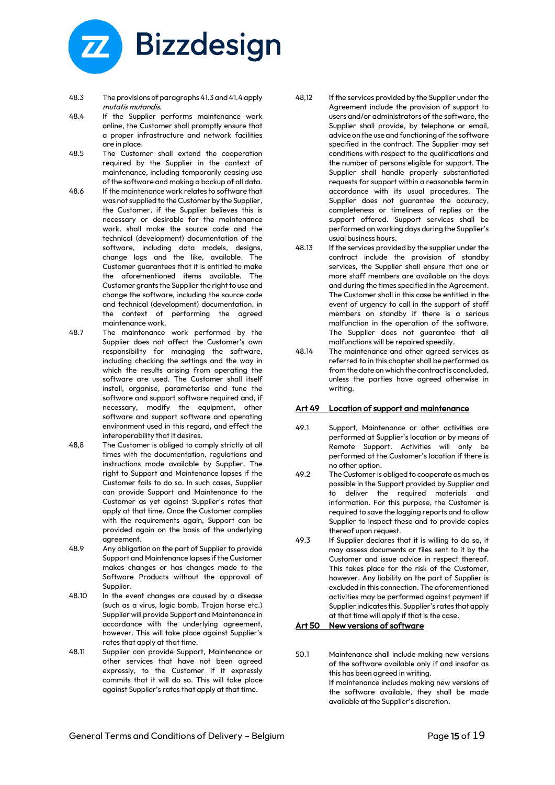

- 48.3 The provisions of paragraphs 41.3 and 41.4 apply mutatis mutandis.
- 48.4 If the Supplier performs maintenance work online, the Customer shall promptly ensure that a proper infrastructure and network facilities are in place.
- 48.5 The Customer shall extend the cooperation required by the Supplier in the context of maintenance, including temporarily ceasing use of the software and making a backup of all data.
- 48.6 If the maintenance work relates to software that was not supplied to the Customer by the Supplier, the Customer, if the Supplier believes this is necessary or desirable for the maintenance work, shall make the source code and the technical (development) documentation of the software, including data models, designs, change logs and the like, available. The Customer guarantees that it is entitled to make the aforementioned items available. The Customer grants the Supplier the right to use and change the software, including the source code and technical (development) documentation, in the context of performing the agreed maintenance work.
- 48.7 The maintenance work performed by the Supplier does not affect the Customer's own responsibility for managing the software, including checking the settings and the way in which the results arising from operating the software are used. The Customer shall itself install, organise, parameterise and tune the software and support software required and, if necessary, modify the equipment, other software and support software and operating environment used in this regard, and effect the interoperability that it desires.
- 48,8 The Customer is obliged to comply strictly at all times with the documentation, regulations and instructions made available by Supplier. The right to Support and Maintenance lapses if the Customer fails to do so. In such cases, Supplier can provide Support and Maintenance to the Customer as yet against Supplier's rates that apply at that time. Once the Customer complies with the requirements again, Support can be provided again on the basis of the underlying agreement.
- 48.9 Any obligation on the part of Supplier to provide Support and Maintenance lapses if the Customer makes changes or has changes made to the Software Products without the approval of Supplier.
- 48.10 In the event changes are caused by a disease (such as a virus, logic bomb, Trojan horse etc.) Supplier will provide Support and Maintenance in accordance with the underlying agreement, however. This will take place against Supplier's rates that apply at that time.
- 48.11 Supplier can provide Support, Maintenance or other services that have not been agreed expressly, to the Customer if it expressly commits that it will do so. This will take place against Supplier's rates that apply at that time.
- 48,12 If the services provided by the Supplier under the Agreement include the provision of support to users and/or administrators of the software, the Supplier shall provide, by telephone or email, advice on the use and functioning of the software specified in the contract. The Supplier may set conditions with respect to the qualifications and the number of persons eligible for support. The Supplier shall handle properly substantiated requests for support within a reasonable term in accordance with its usual procedures. The Supplier does not guarantee the accuracy, completeness or timeliness of replies or the support offered. Support services shall be performed on working days during the Supplier's usual business hours.
- 48.13 If the services provided by the supplier under the contract include the provision of standby services, the Supplier shall ensure that one or more staff members are available on the days and during the times specified in the Agreement. The Customer shall in this case be entitled in the event of urgency to call in the support of staff members on standby if there is a serious malfunction in the operation of the software. The Supplier does not guarantee that all malfunctions will be repaired speedily.
- 48.14 The maintenance and other agreed services as referred to in this chapter shall be performed as from the date on which the contract is concluded, unless the parties have agreed otherwise in writing.

## Art 49 Location of support and maintenance

- 49.1 Support, Maintenance or other activities are performed at Supplier's location or by means of Remote Support. Activities will only be performed at the Customer's location if there is no other option.
- 49.2 The Customer is obliged to cooperate as much as possible in the Support provided by Supplier and to deliver the required materials and information. For this purpose, the Customer is required to save the logging reports and to allow Supplier to inspect these and to provide copies thereof upon request.
- 49.3 If Supplier declares that it is willing to do so, it may assess documents or files sent to it by the Customer and issue advice in respect thereof. This takes place for the risk of the Customer, however. Any liability on the part of Supplier is excluded in this connection. The aforementioned activities may be performed against payment if Supplier indicates this. Supplier's rates that apply at that time will apply if that is the case.

## Art 50 New versions of software

50.1 Maintenance shall include making new versions of the software available only if and insofar as this has been agreed in writing. If maintenance includes making new versions of the software available, they shall be made available at the Supplier's discretion.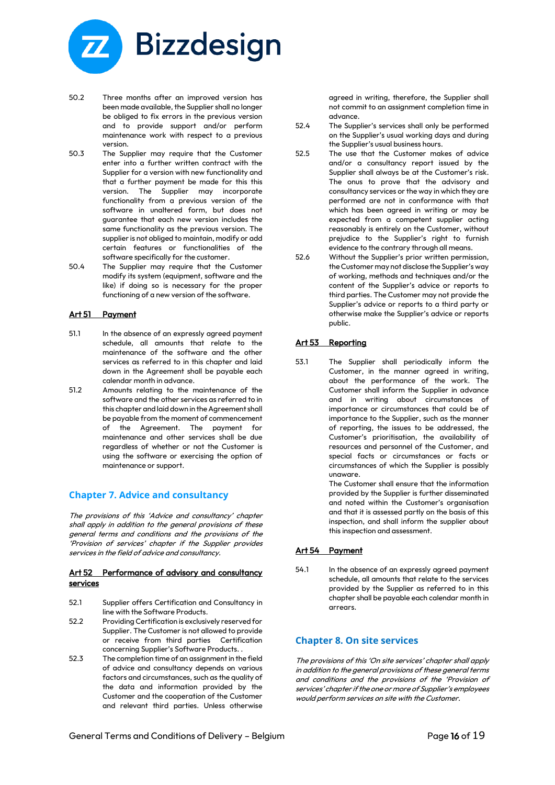

- 50.2 Three months after an improved version has been made available, the Supplier shall no longer be obliged to fix errors in the previous version and to provide support and/or perform maintenance work with respect to a previous version.
- 50.3 The Supplier may require that the Customer enter into a further written contract with the Supplier for a version with new functionality and that a further payment be made for this this version. The Supplier may incorporate functionality from a previous version of the software in unaltered form, but does not guarantee that each new version includes the same functionality as the previous version. The supplier is not obliged to maintain, modify or add certain features or functionalities of the software specifically for the customer.
- 50.4 The Supplier may require that the Customer modify its system (equipment, software and the like) if doing so is necessary for the proper functioning of a new version of the software.

## Art 51 Payment

- 51.1 In the absence of an expressly agreed payment schedule, all amounts that relate to the maintenance of the software and the other services as referred to in this chapter and laid down in the Agreement shall be payable each calendar month in advance.
- 51.2 Amounts relating to the maintenance of the software and the other services as referred to in this chapter and laid down in the Agreement shall be payable from the moment of commencement of the Agreement. The payment for maintenance and other services shall be due regardless of whether or not the Customer is using the software or exercising the option of maintenance or support.

# **Chapter 7. Advice and consultancy**

The provisions of this 'Advice and consultancy' chapter shall apply in addition to the general provisions of these general terms and conditions and the provisions of the 'Provision of services' chapter if the Supplier provides services in the field of advice and consultancy.

#### Art 52 Performance of advisory and consultancy services

- 52.1 Supplier offers Certification and Consultancy in line with the Software Products.
- 52.2 Providing Certification is exclusively reserved for Supplier. The Customer is not allowed to provide or receive from third parties Certification concerning Supplier's Software Products. .
- 52.3 The completion time of an assignment in the field of advice and consultancy depends on various factors and circumstances, such as the quality of the data and information provided by the Customer and the cooperation of the Customer and relevant third parties. Unless otherwise

agreed in writing, therefore, the Supplier shall not commit to an assignment completion time in advance.

- 52.4 The Supplier's services shall only be performed on the Supplier's usual working days and during the Supplier's usual business hours.
- 52.5 The use that the Customer makes of advice and/or a consultancy report issued by the Supplier shall always be at the Customer's risk. The onus to prove that the advisory and consultancy services or the way in which they are performed are not in conformance with that which has been agreed in writing or may be expected from a competent supplier acting reasonably is entirely on the Customer, without prejudice to the Supplier's right to furnish evidence to the contrary through all means.
- 52.6 Without the Supplier's prior written permission, the Customer may not disclose the Supplier's way of working, methods and techniques and/or the content of the Supplier's advice or reports to third parties. The Customer may not provide the Supplier's advice or reports to a third party or otherwise make the Supplier's advice or reports public.

## Art 53 Reporting

53.1 The Supplier shall periodically inform the Customer, in the manner agreed in writing, about the performance of the work. The Customer shall inform the Supplier in advance and in writing about circumstances of importance or circumstances that could be of importance to the Supplier, such as the manner of reporting, the issues to be addressed, the Customer's prioritisation, the availability of resources and personnel of the Customer, and special facts or circumstances or facts or circumstances of which the Supplier is possibly unaware.

The Customer shall ensure that the information provided by the Supplier is further disseminated and noted within the Customer's organisation and that it is assessed partly on the basis of this inspection, and shall inform the supplier about this inspection and assessment.

## Art 54 Payment

54.1 In the absence of an expressly agreed payment schedule, all amounts that relate to the services provided by the Supplier as referred to in this chapter shall be payable each calendar month in arrears.

# **Chapter 8. On site services**

The provisions of this 'On site services' chapter shall apply in addition to the general provisions of these general terms and conditions and the provisions of the 'Provision of services' chapter if the one or more of Supplier's employees would perform services on site with the Customer.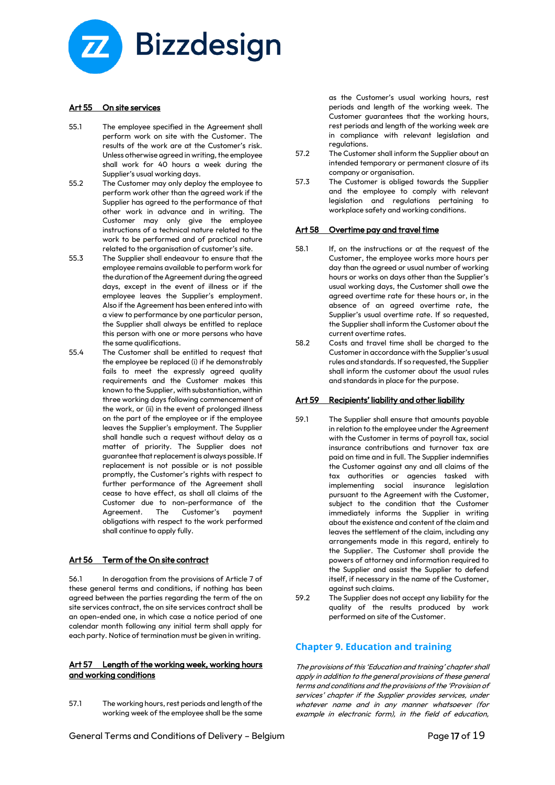

#### Art 55 On site services

- 55.1 The employee specified in the Agreement shall perform work on site with the Customer. The results of the work are at the Customer's risk. Unless otherwise agreed in writing, the employee shall work for 40 hours a week during the Supplier's usual working days.
- 55.2 The Customer may only deploy the employee to perform work other than the agreed work if the Supplier has agreed to the performance of that other work in advance and in writing. The Customer may only give the employee instructions of a technical nature related to the work to be performed and of practical nature related to the organisation of customer's site.
- 55.3 The Supplier shall endeavour to ensure that the employee remains available to perform work for the duration of the Agreement during the agreed days, except in the event of illness or if the employee leaves the Supplier's employment. Also if the Agreement has been entered into with a view to performance by one particular person, the Supplier shall always be entitled to replace this person with one or more persons who have the same qualifications.
- 55.4 The Customer shall be entitled to request that the employee be replaced (i) if he demonstrably fails to meet the expressly agreed quality requirements and the Customer makes this known to the Supplier, with substantiation, within three working days following commencement of the work, or (ii) in the event of prolonged illness on the part of the employee or if the employee leaves the Supplier's employment. The Supplier shall handle such a request without delay as a matter of priority. The Supplier does not guarantee that replacement is always possible. If replacement is not possible or is not possible promptly, the Customer's rights with respect to further performance of the Agreement shall cease to have effect, as shall all claims of the Customer due to non-performance of the Agreement. The Customer's payment obligations with respect to the work performed shall continue to apply fully.

#### Art 56 Term of the On site contract

56.1 In derogation from the provisions of Article 7 of these general terms and conditions, if nothing has been agreed between the parties regarding the term of the on site services contract, the on site services contract shall be an open-ended one, in which case a notice period of one calendar month following any initial term shall apply for each party. Notice of termination must be given in writing.

#### Art 57 Length of the working week, working hours and working conditions

57.1 The working hours, rest periods and length of the working week of the employee shall be the same as the Customer's usual working hours, rest periods and length of the working week. The Customer guarantees that the working hours, rest periods and length of the working week are in compliance with relevant legislation and regulations.

- 57.2 The Customer shall inform the Supplier about an intended temporary or permanent closure of its company or organisation.
- 57.3 The Customer is obliged towards the Supplier and the employee to comply with relevant legislation and regulations pertaining to workplace safety and working conditions.

#### Art 58 Overtime pay and travel time

- 58.1 If, on the instructions or at the request of the Customer, the employee works more hours per day than the agreed or usual number of working hours or works on days other than the Supplier's usual working days, the Customer shall owe the agreed overtime rate for these hours or, in the absence of an agreed overtime rate, the Supplier's usual overtime rate. If so requested, the Supplier shall inform the Customer about the current overtime rates.
- 58.2 Costs and travel time shall be charged to the Customer in accordance with the Supplier's usual rules and standards. If so requested, the Supplier shall inform the customer about the usual rules and standards in place for the purpose.

#### Art 59 Recipients' liability and other liability

- 59.1 The Supplier shall ensure that amounts payable in relation to the employee under the Agreement with the Customer in terms of payroll tax, social insurance contributions and turnover tax are paid on time and in full. The Supplier indemnifies the Customer against any and all claims of the tax authorities or agencies tasked with implementing social insurance legislation pursuant to the Agreement with the Customer, subject to the condition that the Customer immediately informs the Supplier in writing about the existence and content of the claim and leaves the settlement of the claim, including any arrangements made in this regard, entirely to the Supplier. The Customer shall provide the powers of attorney and information required to the Supplier and assist the Supplier to defend itself, if necessary in the name of the Customer, against such claims.
- 59.2 The Supplier does not accept any liability for the quality of the results produced by work performed on site of the Customer.

## **Chapter 9. Education and training**

The provisions of this 'Education and training' chapter shall apply in addition to the general provisions of these general terms and conditions and the provisions of the 'Provision of services' chapter if the Supplier provides services, under whatever name and in any manner whatsoever (for example in electronic form), in the field of education,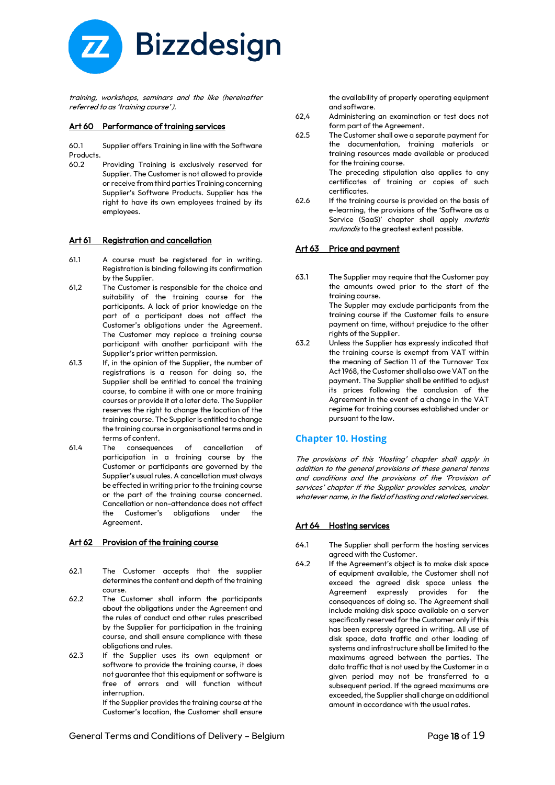

training, workshops, seminars and the like (hereinafter referred to as 'training course' ).

#### Art 60 Performance of training services

60.1 Supplier offers Training in line with the Software Products.

60.2 Providing Training is exclusively reserved for Supplier. The Customer is not allowed to provide or receive from third parties Training concerning Supplier's Software Products. Supplier has the right to have its own employees trained by its employees.

#### Art 61 Registration and cancellation

- 61.1 A course must be registered for in writing. Registration is binding following its confirmation by the Supplier.
- 61,2 The Customer is responsible for the choice and suitability of the training course for the participants. A lack of prior knowledge on the part of a participant does not affect the Customer's obligations under the Agreement. The Customer may replace a training course participant with another participant with the Supplier's prior written permission.
- 61.3 If, in the opinion of the Supplier, the number of registrations is a reason for doing so, the Supplier shall be entitled to cancel the training course, to combine it with one or more training courses or provide it at a later date. The Supplier reserves the right to change the location of the training course. The Supplier is entitled to change the training course in organisational terms and in terms of content.
- 61.4 The consequences of cancellation of participation in a training course by the Customer or participants are governed by the Supplier's usual rules. A cancellation must always be effected in writing prior to the training course or the part of the training course concerned. Cancellation or non-attendance does not affect the Customer's obligations under the Agreement.

## Art 62 Provision of the training course

- 62.1 The Customer accepts that the supplier determines the content and depth of the training course.
- 62.2 The Customer shall inform the participants about the obligations under the Agreement and the rules of conduct and other rules prescribed by the Supplier for participation in the training course, and shall ensure compliance with these obligations and rules.
- 62.3 If the Supplier uses its own equipment or software to provide the training course, it does not guarantee that this equipment or software is free of errors and will function without interruption.

If the Supplier provides the training course at the Customer's location, the Customer shall ensure

the availability of properly operating equipment and software.

- 62,4 Administering an examination or test does not form part of the Agreement.
- 62.5 The Customer shall owe a separate payment for the documentation, training materials or training resources made available or produced for the training course.

The preceding stipulation also applies to any certificates of training or copies of such certificates.

62.6 If the training course is provided on the basis of e-learning, the provisions of the 'Software as a Service (SaaS)' chapter shall apply mutatis mutandis to the greatest extent possible.

## Art 63 Price and payment

63.1 The Supplier may require that the Customer pay the amounts owed prior to the start of the training course. The Suppler may exclude participants from the training course if the Customer fails to ensure

payment on time, without prejudice to the other rights of the Supplier.

63.2 Unless the Supplier has expressly indicated that the training course is exempt from VAT within the meaning of Section 11 of the Turnover Tax Act 1968, the Customer shall also owe VAT on the payment. The Supplier shall be entitled to adjust its prices following the conclusion of the Agreement in the event of a change in the VAT regime for training courses established under or pursuant to the law.

## **Chapter 10. Hosting**

The provisions of this 'Hosting' chapter shall apply in addition to the general provisions of these general terms and conditions and the provisions of the 'Provision of services' chapter if the Supplier provides services, under whatever name, in the field of hosting and related services.

#### Art 64 Hosting services

- 64.1 The Supplier shall perform the hosting services agreed with the Customer.
- 64.2 If the Agreement's object is to make disk space of equipment available, the Customer shall not exceed the agreed disk space unless the Agreement expressly provides for the consequences of doing so. The Agreement shall include making disk space available on a server specifically reserved for the Customer only if this has been expressly agreed in writing. All use of disk space, data traffic and other loading of systems and infrastructure shall be limited to the maximums agreed between the parties. The data traffic that is not used by the Customer in a given period may not be transferred to a subsequent period. If the agreed maximums are exceeded, the Supplier shall charge an additional amount in accordance with the usual rates.